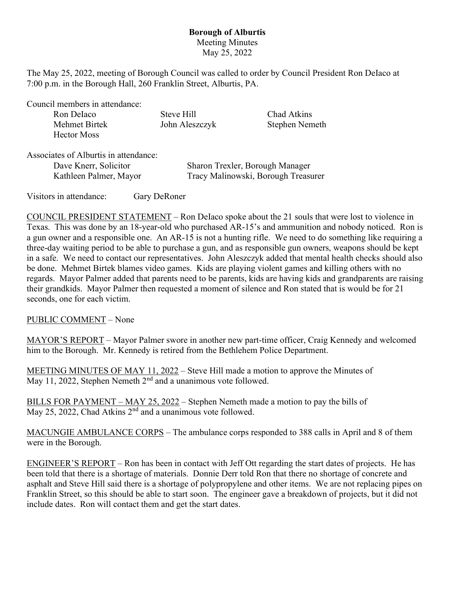## Borough of Alburtis Meeting Minutes May 25, 2022

The May 25, 2022, meeting of Borough Council was called to order by Council President Ron DeIaco at 7:00 p.m. in the Borough Hall, 260 Franklin Street, Alburtis, PA.

Council members in attendance:

| Ron Delaco    | Steve Hill     | Chad Atkins    |
|---------------|----------------|----------------|
| Mehmet Birtek | John Aleszczyk | Stephen Nemeth |
| Hector Moss   |                |                |

Associates of Alburtis in attendance:

| Dave Knerr, Solicitor  | Sharon Trexler, Borough Manager     |
|------------------------|-------------------------------------|
| Kathleen Palmer, Mayor | Tracy Malinowski, Borough Treasurer |

Visitors in attendance: Gary DeRoner

COUNCIL PRESIDENT STATEMENT – Ron DeIaco spoke about the 21 souls that were lost to violence in Texas. This was done by an 18-year-old who purchased AR-15's and ammunition and nobody noticed. Ron is a gun owner and a responsible one. An AR-15 is not a hunting rifle. We need to do something like requiring a three-day waiting period to be able to purchase a gun, and as responsible gun owners, weapons should be kept in a safe. We need to contact our representatives. John Aleszczyk added that mental health checks should also be done. Mehmet Birtek blames video games. Kids are playing violent games and killing others with no regards. Mayor Palmer added that parents need to be parents, kids are having kids and grandparents are raising their grandkids. Mayor Palmer then requested a moment of silence and Ron stated that is would be for 21 seconds, one for each victim.

PUBLIC COMMENT – None

MAYOR'S REPORT – Mayor Palmer swore in another new part-time officer, Craig Kennedy and welcomed him to the Borough. Mr. Kennedy is retired from the Bethlehem Police Department.

MEETING MINUTES OF MAY 11, 2022 – Steve Hill made a motion to approve the Minutes of May 11, 2022, Stephen Nemeth  $2<sup>nd</sup>$  and a unanimous vote followed.

BILLS FOR PAYMENT – MAY 25, 2022 – Stephen Nemeth made a motion to pay the bills of May 25, 2022, Chad Atkins  $2<sup>nd</sup>$  and a unanimous vote followed.

MACUNGIE AMBULANCE CORPS – The ambulance corps responded to 388 calls in April and 8 of them were in the Borough.

ENGINEER'S REPORT – Ron has been in contact with Jeff Ott regarding the start dates of projects. He has been told that there is a shortage of materials. Donnie Derr told Ron that there no shortage of concrete and asphalt and Steve Hill said there is a shortage of polypropylene and other items. We are not replacing pipes on Franklin Street, so this should be able to start soon. The engineer gave a breakdown of projects, but it did not include dates. Ron will contact them and get the start dates.